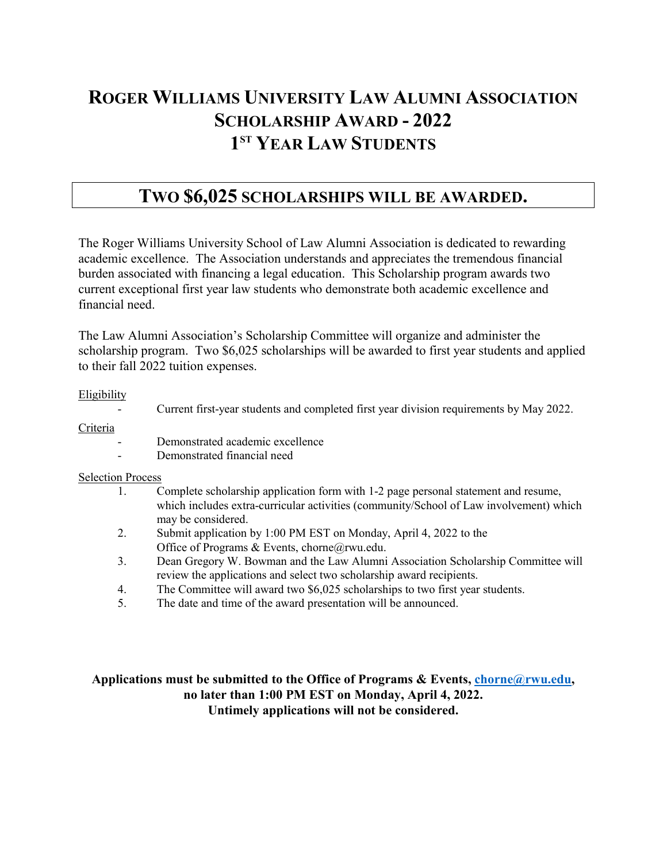# **ROGER WILLIAMS UNIVERSITY LAW ALUMNI ASSOCIATION SCHOLARSHIP AWARD - 2022 1ST YEAR LAW STUDENTS**

### **TWO \$6,025 SCHOLARSHIPS WILL BE AWARDED.**

The Roger Williams University School of Law Alumni Association is dedicated to rewarding academic excellence. The Association understands and appreciates the tremendous financial burden associated with financing a legal education. This Scholarship program awards two current exceptional first year law students who demonstrate both academic excellence and financial need.

The Law Alumni Association's Scholarship Committee will organize and administer the scholarship program. Two \$6,025 scholarships will be awarded to first year students and applied to their fall 2022 tuition expenses.

#### Eligibility

- Current first-year students and completed first year division requirements by May 2022.

Criteria

- Demonstrated academic excellence
- Demonstrated financial need

#### Selection Process

- 1. Complete scholarship application form with 1-2 page personal statement and resume, which includes extra-curricular activities (community/School of Law involvement) which may be considered.
- 2. Submit application by 1:00 PM EST on Monday, April 4, 2022 to the Office of Programs & Events, chorne@rwu.edu.
- 3. Dean Gregory W. Bowman and the Law Alumni Association Scholarship Committee will review the applications and select two scholarship award recipients.
- 4. The Committee will award two \$6,025 scholarships to two first year students.
- 5. The date and time of the award presentation will be announced.

### **Applications must be submitted to the Office of Programs & Events, [chorne@rwu.edu,](mailto:chorne@rwu.edu) no later than 1:00 PM EST on Monday, April 4, 2022. Untimely applications will not be considered.**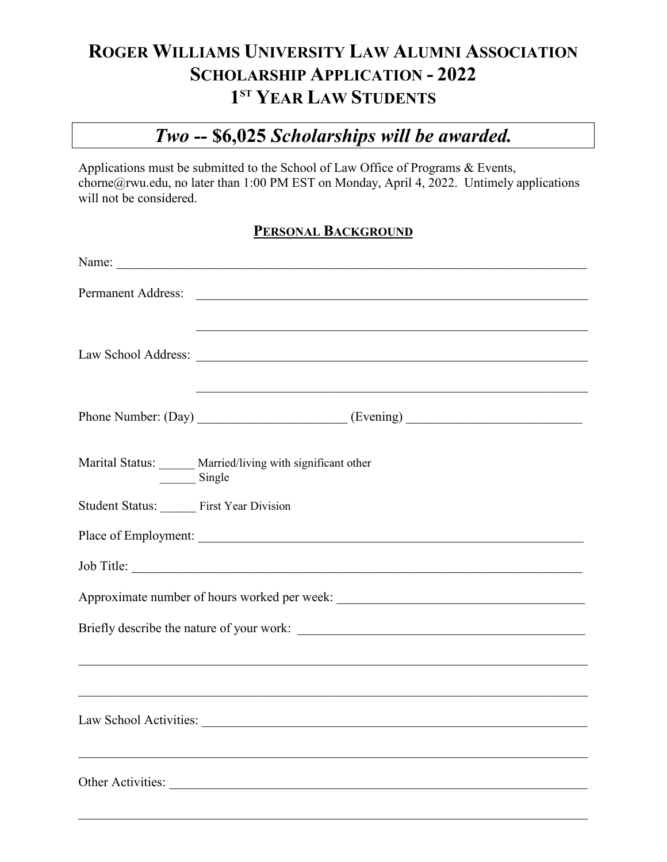# **ROGER WILLIAMS UNIVERSITY LAW ALUMNI ASSOCIATION SCHOLARSHIP APPLICATION - 2022 1ST YEAR LAW STUDENTS**

# *Two --* **\$6,025** *Scholarships will be awarded.*

Applications must be submitted to the School of Law Office of Programs & Events, chorne@rwu.edu, no later than 1:00 PM EST on Monday, April 4, 2022. Untimely applications will not be considered.

### **PERSONAL BACKGROUND**

|                                           | Name:                                                                                                                                                               |  |  |
|-------------------------------------------|---------------------------------------------------------------------------------------------------------------------------------------------------------------------|--|--|
|                                           |                                                                                                                                                                     |  |  |
|                                           |                                                                                                                                                                     |  |  |
|                                           |                                                                                                                                                                     |  |  |
|                                           |                                                                                                                                                                     |  |  |
|                                           |                                                                                                                                                                     |  |  |
| Single                                    | Marital Status: _____ Married/living with significant other                                                                                                         |  |  |
| Student Status: First Year Division       |                                                                                                                                                                     |  |  |
|                                           |                                                                                                                                                                     |  |  |
|                                           | Job Title:                                                                                                                                                          |  |  |
|                                           |                                                                                                                                                                     |  |  |
| Briefly describe the nature of your work: |                                                                                                                                                                     |  |  |
|                                           | ,我们也不能在这里的时候,我们也不能会在这里,我们也不能会在这里,我们也不能会在这里,我们也不能会在这里的时候,我们也不能会在这里,我们也不能会不能会不能会。<br>第2012章 我们的时候,我们的时候,我们的时候,我们的时候,我们的时候,我们的时候,我们的时候,我们的时候,我们的时候,我们的时候,我们的时候,我们的时候,我 |  |  |
|                                           |                                                                                                                                                                     |  |  |
|                                           |                                                                                                                                                                     |  |  |
|                                           | <u> 1989 - Johann Stoff, amerikansk politik (f. 1989)</u>                                                                                                           |  |  |
|                                           |                                                                                                                                                                     |  |  |
|                                           |                                                                                                                                                                     |  |  |